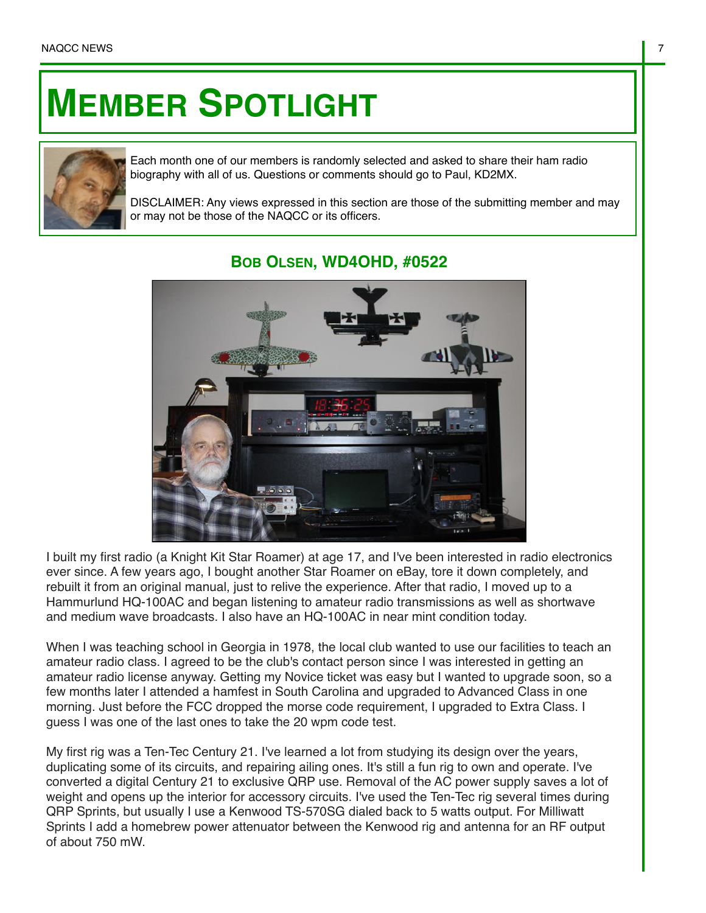## **MEMBER SPOTLIGHT**



Each month one of our members is randomly selected and asked to share their ham radio biography with all of us. Questions or comments should go to Paul, KD2MX.

DISCLAIMER: Any views expressed in this section are those of the submitting member and may or may not be those of the NAQCC or its officers.



## **BOB OLSEN, WD4OHD, #0522**

I built my first radio (a Knight Kit Star Roamer) at age 17, and I've been interested in radio electronics ever since. A few years ago, I bought another Star Roamer on eBay, tore it down completely, and rebuilt it from an original manual, just to relive the experience. After that radio, I moved up to a Hammurlund HQ-100AC and began listening to amateur radio transmissions as well as shortwave and medium wave broadcasts. I also have an HQ-100AC in near mint condition today.

When I was teaching school in Georgia in 1978, the local club wanted to use our facilities to teach an amateur radio class. I agreed to be the club's contact person since I was interested in getting an amateur radio license anyway. Getting my Novice ticket was easy but I wanted to upgrade soon, so a few months later I attended a hamfest in South Carolina and upgraded to Advanced Class in one morning. Just before the FCC dropped the morse code requirement, I upgraded to Extra Class. I guess I was one of the last ones to take the 20 wpm code test.

My first rig was a Ten-Tec Century 21. I've learned a lot from studying its design over the years, duplicating some of its circuits, and repairing ailing ones. It's still a fun rig to own and operate. I've converted a digital Century 21 to exclusive QRP use. Removal of the AC power supply saves a lot of weight and opens up the interior for accessory circuits. I've used the Ten-Tec rig several times during QRP Sprints, but usually I use a Kenwood TS-570SG dialed back to 5 watts output. For Milliwatt Sprints I add a homebrew power attenuator between the Kenwood rig and antenna for an RF output of about 750 mW.